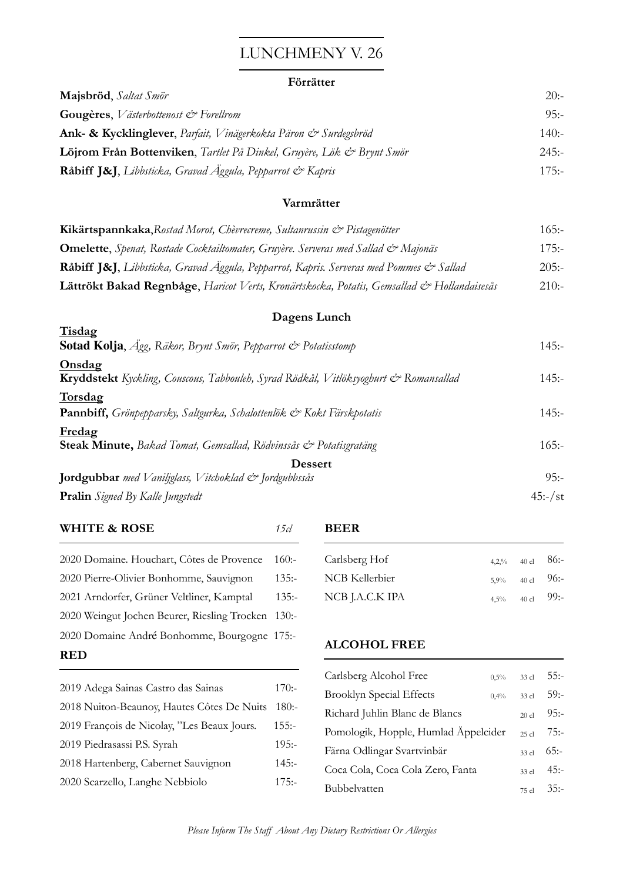# LUNCHMENY V. 26

### **Förrätter**

| Majsbröd, Saltat Smör                                                 | 20:     |
|-----------------------------------------------------------------------|---------|
| <b>Gougères</b> , <i>V</i> ästerbottenost $\mathcal{Q}^*$ Forellrom   | 95:     |
| Ank- & Kycklinglever, Parfait, Vinägerkokta Päron & Surdegsbröd       | 140:    |
| Löjrom Från Bottenviken, Tartlet På Dinkel, Gruyère, Lök & Brynt Smör | 245:    |
| Råbiff J&J, Libbsticka, Gravad Äggula, Pepparrot & Kapris             | $175 -$ |

### **Varmrätter**

| Kikärtspannkaka, Rostad Morot, Chèvrecreme, Sultanrussin & Pistagenötter                   | 165:    |
|--------------------------------------------------------------------------------------------|---------|
| <b>Omelette</b> , Spenat, Rostade Cocktailtomater, Gruyère. Serveras med Sallad & Majonäs  | $175 -$ |
| Råbiff J&J, Libbsticka, Gravad Äggula, Pepparrot, Kapris. Serveras med Pommes & Sallad     | 205:    |
| Lättrökt Bakad Regnbåge, Haricot Verts, Kronärtskocka, Potatis, Gemsallad & Hollandaisesås | 210:    |

## **Dagens Lunch**

| Tisdag                                                                                         |           |
|------------------------------------------------------------------------------------------------|-----------|
| <b>Sotad Kolja</b> , <i>Agg</i> , Räkor, Brynt Smör, Pepparrot & Potatisstomp                  | $145: -$  |
| Onsdag<br>Kryddstekt Kyckling, Couscous, Tabbouleh, Syrad Rödkål, Vitlöksyoghurt & Romansallad | $145: -$  |
| Torsdag<br>Pannbiff, Grönpepparsky, Saltgurka, Schalottenlök & Kokt Färskpotatis               | $145: -$  |
| Fredag<br>Steak Minute, Bakad Tomat, Gemsallad, Rödvinssås & Potatisgratäng                    | 165:      |
| <b>Dessert</b>                                                                                 |           |
| <b>Jordgubbar</b> med Vaniljglass, Vitchoklad & Jordgubbssås                                   | $95:-$    |
| <b>Pralin</b> Signed By Kalle Jungstedt                                                        | $45:-/st$ |

| <b>WHITE &amp; ROSE</b>                      | 15 cl    |
|----------------------------------------------|----------|
| 2020 Domaine. Houchart, Côtes de Provence    | 160:     |
| 2020 Pierre-Olivier Bonhomme, Sauvignon      | $135: -$ |
| 2021 Arndorfer, Grüner Veltliner, Kamptal    | $135: -$ |
| 2020 Weingut Jochen Beurer, Riesling Trocken | $130:-$  |
| 2020 Domaine André Bonhomme, Bourgogne 175:- |          |
| RED                                          |          |

| 2019 Adega Sainas Castro das Sainas         | $170:-$  |
|---------------------------------------------|----------|
| 2018 Nuiton-Beaunoy, Hautes Côtes De Nuits  | 180:     |
| 2019 François de Nicolay, "Les Beaux Jours. | $155: -$ |
| 2019 Piedrasassi P.S. Syrah                 | $195: -$ |
| 2018 Hartenberg, Cabernet Sauvignon         | $145: -$ |
| 2020 Scarzello, Langhe Nebbiolo             | $175: -$ |

#### **BEER**

| Carlsberg Hof   | 4,2,% 40 cl $86:-$ |  |
|-----------------|--------------------|--|
| NCB Kellerbier  | $5,9\%$ 40 cl 96:- |  |
| NCB J.A.C.K IPA | $4,5\%$ 40 cl 99:- |  |

### **ALCOHOL FREE**

| Carlsberg Alcohol Free               | $0.5\%$ | 33 cl   | 55:–    |
|--------------------------------------|---------|---------|---------|
| <b>Brooklyn Special Effects</b>      | $0.4\%$ | $33$ cl | 59:     |
| Richard Juhlin Blanc de Blancs       |         | $20$ cl | $95:-$  |
| Pomologik, Hopple, Humlad Äppelcider |         | $25$ cl | $75: -$ |
| Färna Odlingar Svartvinbär           |         | $33$ cl | 65:     |
| Coca Cola, Coca Cola Zero, Fanta     |         | $33$ cl | $45: -$ |
| <b>Bubbelvatten</b>                  |         | 75 cl   | $35:-$  |